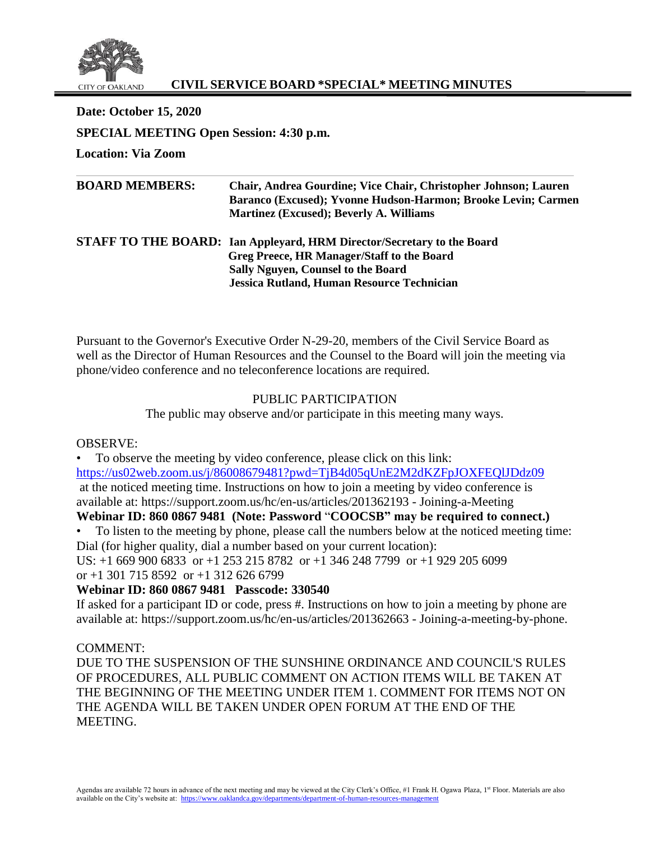

# **CIVIL SERVICE BOARD \*SPECIAL\* MEETING MINUTES**

**Date: October 15, 2020 SPECIAL MEETING Open Session: 4:30 p.m.**

**Location: Via Zoom**

| <b>BOARD MEMBERS:</b> | Chair, Andrea Gourdine; Vice Chair, Christopher Johnson; Lauren<br>Baranco (Excused); Yvonne Hudson-Harmon; Brooke Levin; Carmen<br><b>Martinez (Excused); Beverly A. Williams</b>                                     |
|-----------------------|------------------------------------------------------------------------------------------------------------------------------------------------------------------------------------------------------------------------|
|                       | <b>STAFF TO THE BOARD:</b> Ian Appleyard, HRM Director/Secretary to the Board<br>Greg Preece, HR Manager/Staff to the Board<br>Sally Nguyen, Counsel to the Board<br><b>Jessica Rutland, Human Resource Technician</b> |

Pursuant to the Governor's Executive Order N-29-20, members of the Civil Service Board as well as the Director of Human Resources and the Counsel to the Board will join the meeting via phone/video conference and no teleconference locations are required.

# PUBLIC PARTICIPATION

The public may observe and/or participate in this meeting many ways.

OBSERVE:

• To observe the meeting by video conference, please click on this link: <https://us02web.zoom.us/j/86008679481?pwd=TjB4d05qUnE2M2dKZFpJOXFEQlJDdz09> at the noticed meeting time. Instructions on how to join a meeting by video conference is available at: https://support.zoom.us/hc/en-us/articles/201362193 - Joining-a-Meeting

# **Webinar ID: 860 0867 9481 (Note: Password** "**COOCSB" may be required to connect.)**

• To listen to the meeting by phone, please call the numbers below at the noticed meeting time: Dial (for higher quality, dial a number based on your current location):

US: +1 669 900 6833 or +1 253 215 8782 or +1 346 248 7799 or +1 929 205 6099 or  $+1$  301 715 8592 or  $+1$  312 626 6799

# **Webinar ID: 860 0867 9481 Passcode: 330540**

If asked for a participant ID or code, press #. Instructions on how to join a meeting by phone are available at: https://support.zoom.us/hc/en-us/articles/201362663 - Joining-a-meeting-by-phone.

# COMMENT:

DUE TO THE SUSPENSION OF THE SUNSHINE ORDINANCE AND COUNCIL'S RULES OF PROCEDURES, ALL PUBLIC COMMENT ON ACTION ITEMS WILL BE TAKEN AT THE BEGINNING OF THE MEETING UNDER ITEM 1. COMMENT FOR ITEMS NOT ON THE AGENDA WILL BE TAKEN UNDER OPEN FORUM AT THE END OF THE **MEETING.**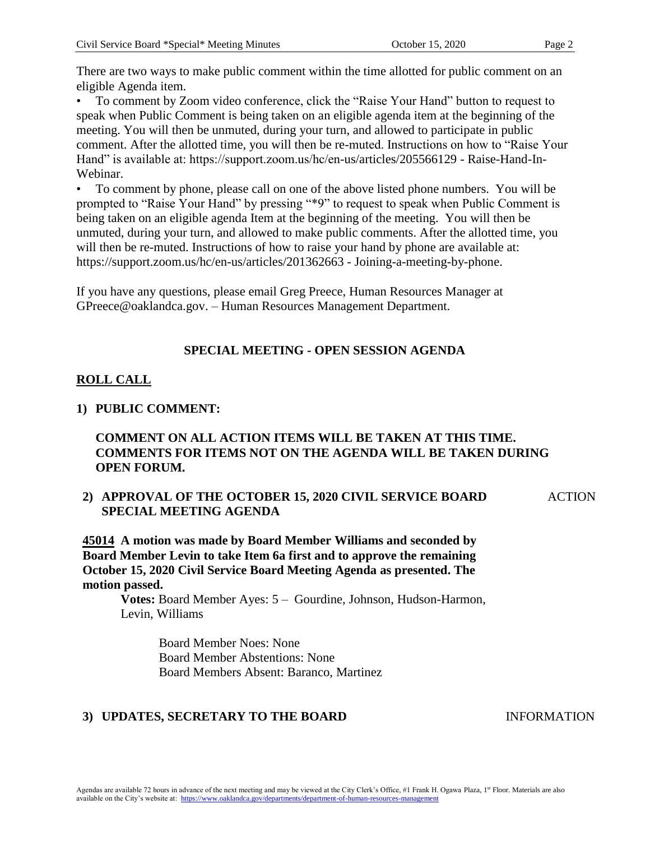There are two ways to make public comment within the time allotted for public comment on an eligible Agenda item.

• To comment by Zoom video conference, click the "Raise Your Hand" button to request to speak when Public Comment is being taken on an eligible agenda item at the beginning of the meeting. You will then be unmuted, during your turn, and allowed to participate in public comment. After the allotted time, you will then be re-muted. Instructions on how to "Raise Your Hand" is available at: https://support.zoom.us/hc/en-us/articles/205566129 - Raise-Hand-In-Webinar.

• To comment by phone, please call on one of the above listed phone numbers. You will be prompted to "Raise Your Hand" by pressing "\*9" to request to speak when Public Comment is being taken on an eligible agenda Item at the beginning of the meeting. You will then be unmuted, during your turn, and allowed to make public comments. After the allotted time, you will then be re-muted. Instructions of how to raise your hand by phone are available at: https://support.zoom.us/hc/en-us/articles/201362663 - Joining-a-meeting-by-phone.

If you have any questions, please email Greg Preece, Human Resources Manager at GPreece@oaklandca.gov. – Human Resources Management Department.

# **SPECIAL MEETING - OPEN SESSION AGENDA**

# **ROLL CALL**

#### **1) PUBLIC COMMENT:**

### **COMMENT ON ALL ACTION ITEMS WILL BE TAKEN AT THIS TIME. COMMENTS FOR ITEMS NOT ON THE AGENDA WILL BE TAKEN DURING OPEN FORUM.**

**2) APPROVAL OF THE OCTOBER 15, 2020 CIVIL SERVICE BOARD SPECIAL MEETING AGENDA**

ACTION

**45014 A motion was made by Board Member Williams and seconded by Board Member Levin to take Item 6a first and to approve the remaining October 15, 2020 Civil Service Board Meeting Agenda as presented. The motion passed.** 

**Votes:** Board Member Ayes: 5 – Gourdine, Johnson, Hudson-Harmon, Levin, Williams

> Board Member Noes: None Board Member Abstentions: None Board Members Absent: Baranco, Martinez

#### **3) UPDATES, SECRETARY TO THE BOARD** INFORMATION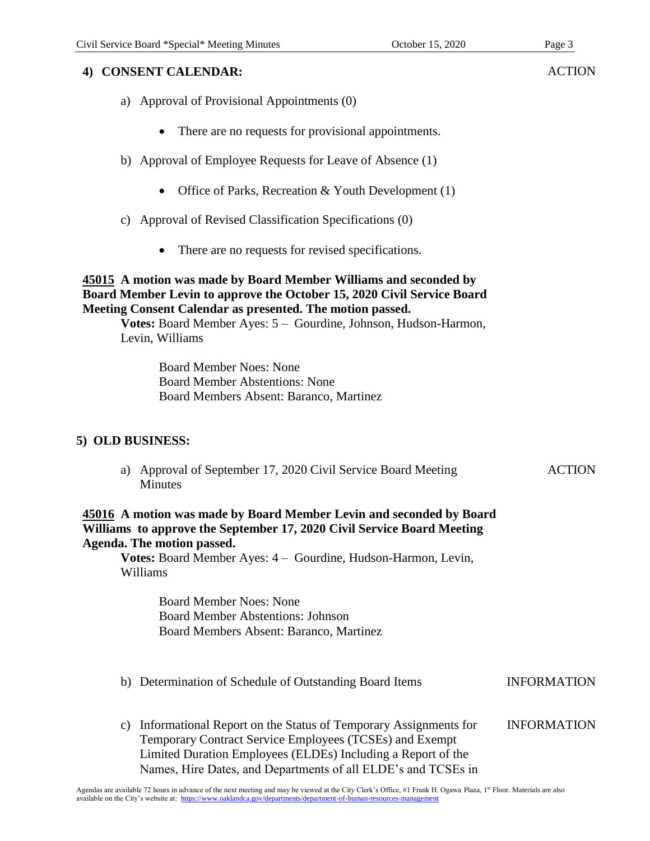### **4) CONSENT CALENDAR:**

- a) Approval of Provisional Appointments (0)
	- There are no requests for provisional appointments.
- b) Approval of Employee Requests for Leave of Absence (1)
	- Office of Parks, Recreation & Youth Development (1)
- c) Approval of Revised Classification Specifications (0)
	- There are no requests for revised specifications.

### **45015 A motion was made by Board Member Williams and seconded by Board Member Levin to approve the October 15, 2020 Civil Service Board Meeting Consent Calendar as presented. The motion passed.**

**Votes:** Board Member Ayes: 5 – Gourdine, Johnson, Hudson-Harmon, Levin, Williams

> Board Member Noes: None Board Member Abstentions: None Board Members Absent: Baranco, Martinez

# **5) OLD BUSINESS:**

a) Approval of September 17, 2020 Civil Service Board Meeting Minutes

### **45016 A motion was made by Board Member Levin and seconded by Board Williams to approve the September 17, 2020 Civil Service Board Meeting Agenda. The motion passed.**

**Votes:** Board Member Ayes: 4 – Gourdine, Hudson-Harmon, Levin, Williams

> Board Member Noes: None Board Member Abstentions: Johnson Board Members Absent: Baranco, Martinez

- b) Determination of Schedule of Outstanding Board Items INFORMATION
- c) Informational Report on the Status of Temporary Assignments for Temporary Contract Service Employees (TCSEs) and Exempt Limited Duration Employees (ELDEs) Including a Report of the Names, Hire Dates, and Departments of all ELDE's and TCSEs in INFORMATION

**ACTION**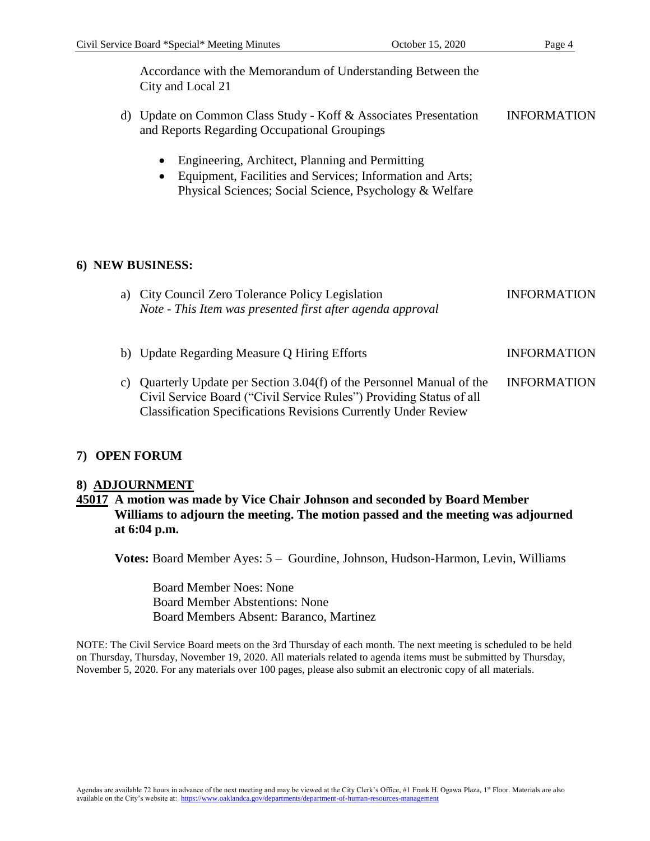Accordance with the Memorandum of Understanding Between the City and Local 21

- d) Update on Common Class Study Koff & Associates Presentation and Reports Regarding Occupational Groupings INFORMATION
	- Engineering, Architect, Planning and Permitting
	- Equipment, Facilities and Services; Information and Arts; Physical Sciences; Social Science, Psychology & Welfare

### **6) NEW BUSINESS:**

| a) City Council Zero Tolerance Policy Legislation<br>Note - This Item was presented first after agenda approval                                                                                                        | <b>INFORMATION</b> |
|------------------------------------------------------------------------------------------------------------------------------------------------------------------------------------------------------------------------|--------------------|
| b) Update Regarding Measure Q Hiring Efforts                                                                                                                                                                           | <b>INFORMATION</b> |
| c) Quarterly Update per Section 3.04(f) of the Personnel Manual of the<br>Civil Service Board ("Civil Service Rules") Providing Status of all<br><b>Classification Specifications Revisions Currently Under Review</b> | <b>INFORMATION</b> |

#### **7) OPEN FORUM**

#### **8) ADJOURNMENT**

### **45017 A motion was made by Vice Chair Johnson and seconded by Board Member Williams to adjourn the meeting. The motion passed and the meeting was adjourned at 6:04 p.m.**

**Votes:** Board Member Ayes: 5 – Gourdine, Johnson, Hudson-Harmon, Levin, Williams

Board Member Noes: None Board Member Abstentions: None Board Members Absent: Baranco, Martinez

NOTE: The Civil Service Board meets on the 3rd Thursday of each month. The next meeting is scheduled to be held on Thursday, Thursday, November 19, 2020. All materials related to agenda items must be submitted by Thursday, November 5, 2020. For any materials over 100 pages, please also submit an electronic copy of all materials.